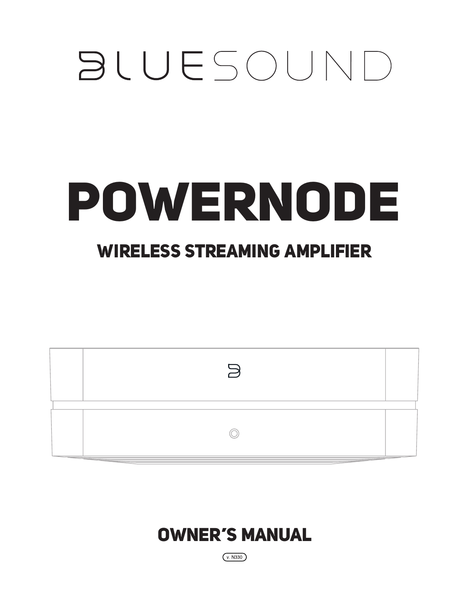## **BLUESOUND**

# POWERNODE

## WIRELESS STREAMING AMPLIFIER

| $\overline{}$<br>$\rightarrow$ |  |
|--------------------------------|--|
| and the property of the con-   |  |

### OWNER'S MANUAL

 $(v.$  N330)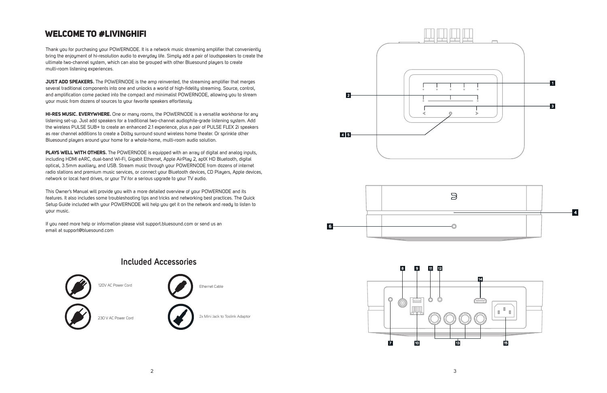#### **Included Accessories**



Thank you for purchasing your POWERNODE. It is a network music streaming amplifier that conveniently bring the enjoyment of hi-resolution audio to everyday life. Simply add a pair of loudspeakers to create the ultimate two-channel system, which can also be grouped with other Bluesound players to create multi-room listening experiences.

**JUST ADD SPEAKERS.** The POWERNODE is the amp reinvented, the streaming amplifier that merges several traditional components into one and unlocks a world of high-fidelity streaming. Source, control, and amplification come packed into the compact and minimalist POWERNODE, allowing you to stream your music from dozens of sources to your favorite speakers effortlessly.

**PLAYS WELL WITH OTHERS.** The POWERNODE is equipped with an array of digital and analog inputs, including HDMI eARC, dual-band Wi-Fi, Gigabit Ethernet, Apple AirPlay 2, aptX HD Bluetooth, digital optical, 3.5mm auxiliary, and USB. Stream music through your POWERNODE from dozens of internet radio stations and premium music services, or connect your Bluetooth devices, CD Players, Apple devices, network or local hard drives, or your TV for a serious upgrade to your TV audio.

This Owner's Manual will provide you with a more detailed overview of your POWERNODE and its features. It also includes some troubleshooting tips and tricks and networking best practices. The Quick Setup Guide included with your POWERNODE will help you get it on the network and ready to listen to uour music.

**HI-RES MUSIC. EVERYWHERE.** One or many rooms, the POWERNODE is a versatile workhorse for any listening set-up. Just add speakers for a traditional two-channel audiophile-grade listening system. Add the wireless PULSE SUB+ to create an enhanced 2.1 experience, plus a pair of PULSE FLEX 2i speakers as rear channel additions to create a Dolby surround sound wireless home theater. Or sprinkle other Bluesound players around your home for a whole-home, multi-room audio solution.

If you need more help or information please visit support.bluesound.com or send us an email at support@bluesound.com





#### WELCOME TO #LIVINGHIFI

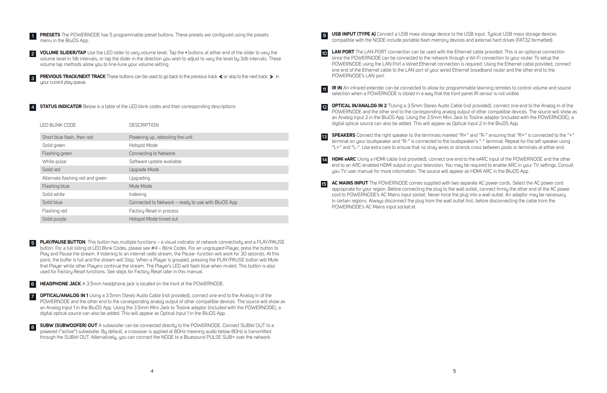**USB INPUT (TYPE A)** Connect a USB mass storage device to the USB input. Typical USB mass storage devices compatible with the NODE include portable flash memory devices and external hard drives (FAT32 formatted). **9**

**IR IN** An infrared extender can be connected to allow for programmable learning remotes to control volume and source selection when a POWERNODE is stored in a way that the front panel IR sensor is not visible. **11**

**HDMI eARC** Using a HDMI cable (not provided), connect one end to the eARC input of the POWERNODE and the other end to an ARC-enabled HDMI output on your television. You may be required to enable ARC in your TV settings. Consult you TV user manual for more information. The source will appear as HDMI ARC in the BluOS App **14**

**LAN PORT** The LAN PORT connection can be used with the Ethernet cable provided. This is an optional connection since the POWERNODE can be connected to the network through a Wi-Fi connection to your router. To setup the POWERNODE using the LAN Port a Wired Ethernet connection is required. Using the Ethernet cable provided, connect one end of the Ethernet cable to the LAN port of your wired Ethernet broadband router and the other end to the POWERNODE's LAN port. **10**

**OPTICAL IN/ANALOG IN 2** TUsing a 3.5mm Stereo Audio Cable (not provided), connect one end to the Analog In of the POWERNODE and the other end to the corresponding analog output of other compatible devices. The source will show as an Analog Input 2 in the BluOS App. Using the 3.5mm Mini Jack to Toslink adaptor (included with the POWERNODE), a digital optical source can also be added. This will appear as Optical Input 2 in the BluOS App. **12**

**SPEAKERS** Connect the right speaker to the terminals marked "R+" and "R-" ensuring that "R+" is connected to the "+" terminal on your loudspeaker and "R-" is connected to the loudspeaker's "-" terminal. Repeat for the left speaker using "L+" and "L-". Use extra care to ensure that no stray wires or strands cross between posts or terminals at either end. **13**

**1 PRESETS** The POWERNODE has 5 programmable preset buttons. These presets are configured using the presets menu in the BluOS App.

**PREVIOUS TRACK/NEXT TRACK** These buttons can be used to go back to the previous track  $\triangleleft$  or skip to the next track  $\triangleright$  in your current play queue.

**4 STATUS INDICATOR** Below is a table of the LED blink codes and their corresponding descriptions

**VOLUME SLIDER/TAP** Use the LED slider to vary volume level. Tap the • buttons at either end of the slider to vary the volume level in 1db intervals, or tap the slider in the direction you wish to adjust to vary the level by 3db intervals. These volume tap methods allow you to fine-tune your volume setting. **2**

| LED BLINK CODE                   | <b>DESCRIPTION</b>                                 |
|----------------------------------|----------------------------------------------------|
| Short blue flash, then red       | Powering up, rebooting the unit                    |
| Solid green                      | Hotspot Mode                                       |
| Flashing green                   | Connecting to Network                              |
| White pulse                      | Software update available                          |
| Solid red                        | Upgrade Mode                                       |
| Alternate flashing red and green | Upgrading                                          |
| Flashing blue                    | Mute Mode                                          |
| Solid white                      | Indexing                                           |
| Solid blue                       | Connected to Network - ready to use with BluOS App |
| Flashing red                     | Factory Reset in process                           |
| Solid purple                     | Hotspot Mode timed out                             |

**AC MAINS INPUT** The POWERNODE comes supplied with two separate AC power cords. Select the AC power cord appropriate for your region. Before connecting the plug to the wall outlet, connect firmly the other end of the AC power cord to POWERNODE's AC Mains input socket. Never force the plug into a wall outlet. An adaptor may be necessary in certain regions. Always disconnect the plug from the wall outlet first, before disconnecting the cable from the POWERNODE's AC Mains input socket.et. **15**

**PLAY/PAUSE BUTTON** This button has multiple functions – a visual indicator of network connectivity and a PLAY/PAUSE button. For a full listing of LED Blink Codes, please see #4 – Blink Codes. For an ungrouped Player, press the button to Play and Pause the stream. If listening to an internet radio stream, the Pause- function will work for 30 seconds. At this point, the buffer is full and the stream will Stop. When a Player is grouped, pressing the PLAY/PAUSE button will Mute that Player while other Players continue the stream. The Player's LED will flash blue when muted. This button is also used for Factory Reset functions. See steps for Factory Reset later in this manual. **5**

**HEADPHONE JACK** A 3.5mm headphone jack is located on the front of the POWERNODE. **6**

**OPTICAL/ANALOG IN 1** Using a 3.5mm Stereo Audio Cable (not provided), connect one end to the Analog In of the POWERNODE and the other end to the corresponding analog output of other compatible devices. The source will show as an Analog Input 1 in the BluOS App. Using the 3.5mm Mini Jack to Toslink adaptor (included with the POWERNODE), a digital optical source can also be added. This will appear as Optical Input 1 in the BluOS App. **7**

**SUBW (SUBWOOFER) OUT** A subwoofer can be connected directly to the POWERNODE. Connect SUBW OUT to a powered ("active") subwoofer. By default, a crossover is applied at 80Hz meaning audio below 80Hz is transmitted through the SUBW OUT. Alternatively, you can connect the NODE to a Bluesound PULSE SUB+ over the network. **8**

**3**